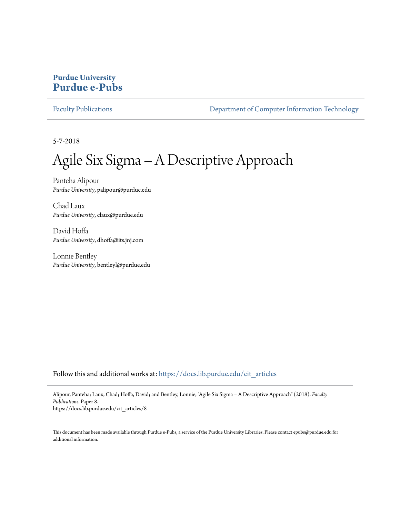### **Purdue University [Purdue e-Pubs](https://docs.lib.purdue.edu?utm_source=docs.lib.purdue.edu%2Fcit_articles%2F8&utm_medium=PDF&utm_campaign=PDFCoverPages)**

[Faculty Publications](https://docs.lib.purdue.edu/cit_articles?utm_source=docs.lib.purdue.edu%2Fcit_articles%2F8&utm_medium=PDF&utm_campaign=PDFCoverPages) **[Department of Computer Information Technology](https://docs.lib.purdue.edu/cit?utm_source=docs.lib.purdue.edu%2Fcit_articles%2F8&utm_medium=PDF&utm_campaign=PDFCoverPages)** 

5-7-2018

# Agile Six Sigma – A Descriptive Approach

Panteha Alipour *Purdue University*, palipour@purdue.edu

Chad Laux *Purdue University*, claux@purdue.edu

David Hoffa *Purdue University*, dhoffa@its.jnj.com

Lonnie Bentley *Purdue University*, bentleyl@purdue.edu

Follow this and additional works at: [https://docs.lib.purdue.edu/cit\\_articles](https://docs.lib.purdue.edu/cit_articles?utm_source=docs.lib.purdue.edu%2Fcit_articles%2F8&utm_medium=PDF&utm_campaign=PDFCoverPages)

Alipour, Panteha; Laux, Chad; Hoffa, David; and Bentley, Lonnie, "Agile Six Sigma – A Descriptive Approach" (2018). *Faculty Publications.* Paper 8. https://docs.lib.purdue.edu/cit\_articles/8

This document has been made available through Purdue e-Pubs, a service of the Purdue University Libraries. Please contact epubs@purdue.edu for additional information.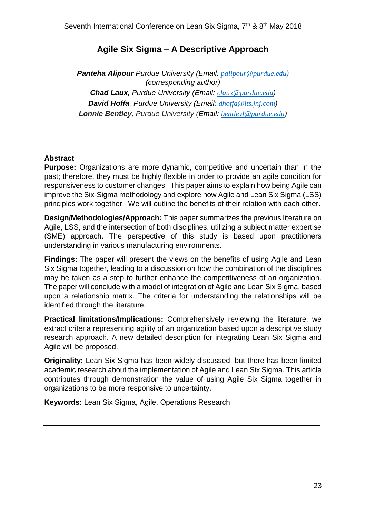## **Agile Six Sigma – A Descriptive Approach**

*Panteha Alipour Purdue University (Email: [palipour@purdue.edu](mailto:palipour@purdue.edu))) (corresponding author) Chad Laux, Purdue University (Email: [claux@purdue.edu](mailto:claux@purdue.edu)) David Hoffa, Purdue University (Email: [dhoffa@its.jnj.com](mailto:dhoffa@its.jnj.com)) Lonnie Bentley, Purdue University (Email: [bentleyl@purdue.edu](mailto:bentleyl@purdue.edu))*

#### **Abstract**

**Purpose:** Organizations are more dynamic, competitive and uncertain than in the past; therefore, they must be highly flexible in order to provide an agile condition for responsiveness to customer changes. This paper aims to explain how being Agile can improve the Six-Sigma methodology and explore how Agile and Lean Six Sigma (LSS) principles work together. We will outline the benefits of their relation with each other.

**Design/Methodologies/Approach:** This paper summarizes the previous literature on Agile, LSS, and the intersection of both disciplines, utilizing a subject matter expertise (SME) approach. The perspective of this study is based upon practitioners understanding in various manufacturing environments.

**Findings:** The paper will present the views on the benefits of using Agile and Lean Six Sigma together, leading to a discussion on how the combination of the disciplines may be taken as a step to further enhance the competitiveness of an organization. The paper will conclude with a model of integration of Agile and Lean Six Sigma, based upon a relationship matrix. The criteria for understanding the relationships will be identified through the literature.

**Practical limitations/Implications:** Comprehensively reviewing the literature, we extract criteria representing agility of an organization based upon a descriptive study research approach. A new detailed description for integrating Lean Six Sigma and Agile will be proposed.

**Originality:** Lean Six Sigma has been widely discussed, but there has been limited academic research about the implementation of Agile and Lean Six Sigma. This article contributes through demonstration the value of using Agile Six Sigma together in organizations to be more responsive to uncertainty.

**Keywords:** Lean Six Sigma, Agile, Operations Research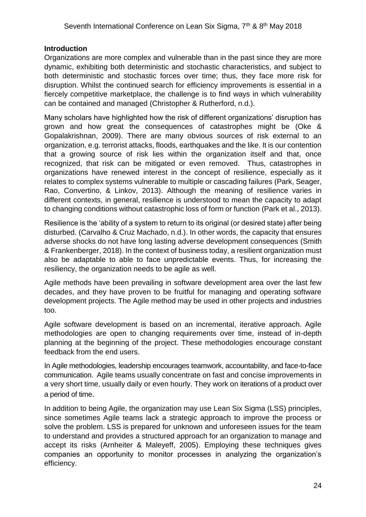#### **Introduction**

Organizations are more complex and vulnerable than in the past since they are more dynamic, exhibiting both deterministic and stochastic characteristics, and subject to both deterministic and stochastic forces over time; thus, they face more risk for disruption. Whilst the continued search for efficiency improvements is essential in a fiercely competitive marketplace, the challenge is to find ways in which vulnerability can be contained and managed (Christopher & Rutherford, n.d.).

Many scholars have highlighted how the risk of different organizations' disruption has grown and how great the consequences of catastrophes might be (Oke & Gopalakrishnan, 2009). There are many obvious sources of risk external to an organization, e.g. terrorist attacks, floods, earthquakes and the like. It is our contention that a growing source of risk lies within the organization itself and that, once recognized, that risk can be mitigated or even removed. Thus, catastrophes in organizations have renewed interest in the concept of resilience, especially as it relates to complex systems vulnerable to multiple or cascading failures (Park, Seager, Rao, Convertino, & Linkov, 2013). Although the meaning of resilience varies in different contexts, in general, resilience is understood to mean the capacity to adapt to changing conditions without catastrophic loss of form or function (Park et al., 2013).

Resilience is the 'ability of a system to return to its original (or desired state) after being disturbed. (Carvalho & Cruz Machado, n.d.). In other words, the capacity that ensures adverse shocks do not have long lasting adverse development consequences (Smith & Frankenberger, 2018). In the context of business today, a resilient organization must also be adaptable to able to face unpredictable events. Thus, for increasing the resiliency, the organization needs to be agile as well.

Agile methods have been prevailing in software development area over the last few decades, and they have proven to be fruitful for managing and operating software development projects. The Agile method may be used in other projects and industries too.

Agile software development is based on an incremental, iterative approach. Agile methodologies are open to changing requirements over time, instead of in-depth planning at the beginning of the project. These methodologies encourage constant feedback from the end users.

In Agile methodologies, leadership encourages teamwork, accountability, and face-to-face communication. Agile teams usually concentrate on fast and concise improvements in a very short time, usually daily or even hourly. They work on iterations of a product over a period of time.

In addition to being Agile, the organization may use Lean Six Sigma (LSS) principles, since sometimes Agile teams lack a strategic approach to improve the process or solve the problem. LSS is prepared for unknown and unforeseen issues for the team to understand and provides a structured approach for an organization to manage and accept its risks (Arnheiter & Maleyeff, 2005). Employing these techniques gives companies an opportunity to monitor processes in analyzing the organization's efficiency.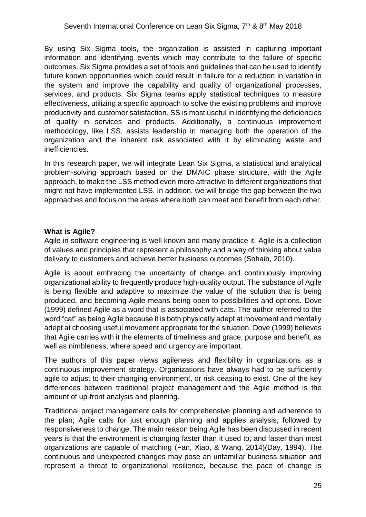#### Seventh International Conference on Lean Six Sigma, 7<sup>th</sup> & 8<sup>th</sup> May 2018

By using Six Sigma tools, the organization is assisted in capturing important information and identifying events which may contribute to the failure of specific outcomes. Six Sigma provides a set of tools and guidelines that can be used to identify future known opportunities which could result in failure for a reduction in variation in the system and improve the capability and quality of organizational processes, services, and products. Six Sigma teams apply statistical techniques to measure effectiveness, utilizing a specific approach to solve the existing problems and improve productivity and customer satisfaction. SS is most useful in identifying the deficiencies of quality in services and products. Additionally, a continuous improvement methodology, like LSS, assists leadership in managing both the operation of the organization and the inherent risk associated with it by eliminating waste and inefficiencies.

In this research paper, we will integrate Lean Six Sigma, a statistical and analytical problem-solving approach based on the DMAIC phase structure, with the Agile approach, to make the LSS method even more attractive to different organizations that might not have implemented LSS. In addition, we will bridge the gap between the two approaches and focus on the areas where both can meet and benefit from each other.

#### **What is Agile?**

Agile in software engineering is well known and many practice it. Agile is a collection of values and principles that represent a philosophy and a way of thinking about value delivery to customers and achieve better business outcomes (Sohaib, 2010).

Agile is about embracing the uncertainty of change and continuously improving organizational ability to frequently produce high-quality output. The substance of Agile is being flexible and adaptive to maximize the value of the solution that is being produced, and becoming Agile means being open to possibilities and options. Dove (1999) defined Agile as a word that is associated with cats. The author referred to the word "cat" as being Agile because it is both physically adept at movement and mentally adept at choosing useful movement appropriate for the situation. Dove (1999) believes that Agile carries with it the elements of timeliness and grace, purpose and benefit, as well as nimbleness, where speed and urgency are important.

The authors of this paper views agileness and flexibility in organizations as a continuous improvement strategy. Organizations have always had to be sufficiently agile to adjust to their changing environment, or risk ceasing to exist. One of the key differences between traditional project management and the Agile method is the amount of up-front analysis and planning.

Traditional project management calls for comprehensive planning and adherence to the plan; Agile calls for just enough planning and applies analysis, followed by responsiveness to change. The main reason being Agile has been discussed in recent years is that the environment is changing faster than it used to, and faster than most organizations are capable of matching (Fan, Xiao, & Wang, 2014)(Day, 1994). The continuous and unexpected changes may pose an unfamiliar business situation and represent a threat to organizational resilience, because the pace of change is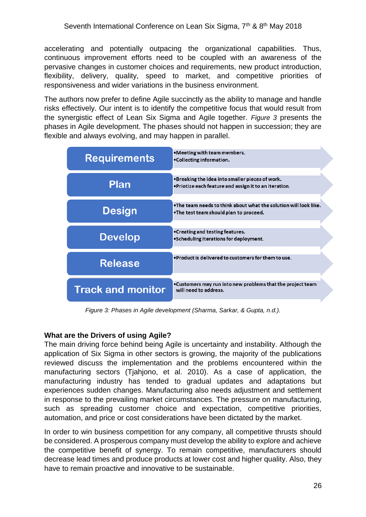accelerating and potentially outpacing the organizational capabilities. Thus, continuous improvement efforts need to be coupled with an awareness of the pervasive changes in customer choices and requirements, new product introduction, flexibility, delivery, quality, speed to market, and competitive priorities of responsiveness and wider variations in the business environment.

The authors now prefer to define Agile succinctly as the ability to manage and handle risks effectively. Our intent is to identify the competitive focus that would result from the synergistic effect of Lean Six Sigma and Agile together. *[Figure 3](#page-4-0)* presents the phases in Agile development. The phases should not happen in succession; they are flexible and always evolving, and may happen in parallel.



*Figure 3: Phases in Agile development (Sharma, Sarkar, & Gupta, n.d.).*

#### <span id="page-4-0"></span>**What are the Drivers of using Agile?**

The main driving force behind being Agile is uncertainty and instability. Although the application of Six Sigma in other sectors is growing, the majority of the publications reviewed discuss the implementation and the problems encountered within the manufacturing sectors (Tjahjono, et al. 2010). As a case of application, the manufacturing industry has tended to gradual updates and adaptations but experiences sudden changes. Manufacturing also needs adjustment and settlement in response to the prevailing market circumstances. The pressure on manufacturing, such as spreading customer choice and expectation, competitive priorities, automation, and price or cost considerations have been dictated by the market.

In order to win business competition for any company, all competitive thrusts should be considered. A prosperous company must develop the ability to explore and achieve the competitive benefit of synergy. To remain competitive, manufacturers should decrease lead times and produce products at lower cost and higher quality. Also, they have to remain proactive and innovative to be sustainable.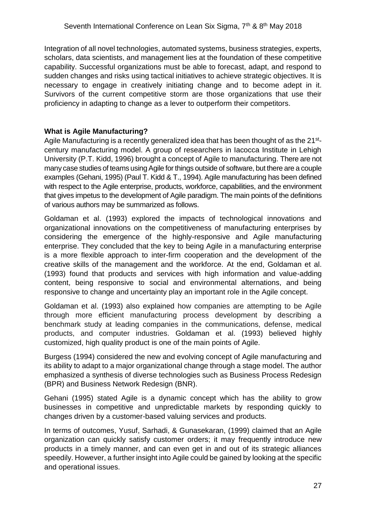Integration of all novel technologies, automated systems, business strategies, experts, scholars, data scientists, and management lies at the foundation of these competitive capability. Successful organizations must be able to forecast, adapt, and respond to sudden changes and risks using tactical initiatives to achieve strategic objectives. It is necessary to engage in creatively initiating change and to become adept in it. Survivors of the current competitive storm are those organizations that use their proficiency in adapting to change as a lever to outperform their competitors.

#### **What is Agile Manufacturing?**

Agile Manufacturing is a recently generalized idea that has been thought of as the 21<sup>st</sup>century manufacturing model. A group of researchers in Iacocca Institute in Lehigh University (P.T. Kidd, 1996) brought a concept of Agile to manufacturing. There are not many case studies of teams using Agile for things outside of software, but there are a couple examples (Gehani, 1995) (Paul T. Kidd & T., 1994). Agile manufacturing has been defined with respect to the Agile enterprise, products, workforce, capabilities, and the environment that gives impetus to the development of Agile paradigm. The main points of the definitions of various authors may be summarized as follows.

Goldaman et al. (1993) explored the impacts of technological innovations and organizational innovations on the competitiveness of manufacturing enterprises by considering the emergence of the highly-responsive and Agile manufacturing enterprise. They concluded that the key to being Agile in a manufacturing enterprise is a more flexible approach to inter-firm cooperation and the development of the creative skills of the management and the workforce. At the end, Goldaman et al. (1993) found that products and services with high information and value-adding content, being responsive to social and environmental alternations, and being responsive to change and uncertainty play an important role in the Agile concept.

Goldaman et al. (1993) also explained how companies are attempting to be Agile through more efficient manufacturing process development by describing a benchmark study at leading companies in the communications, defense, medical products, and computer industries. Goldaman et al. (1993) believed highly customized, high quality product is one of the main points of Agile.

Burgess (1994) considered the new and evolving concept of Agile manufacturing and its ability to adapt to a major organizational change through a stage model. The author emphasized a synthesis of diverse technologies such as Business Process Redesign (BPR) and Business Network Redesign (BNR).

Gehani (1995) stated Agile is a dynamic concept which has the ability to grow businesses in competitive and unpredictable markets by responding quickly to changes driven by a customer-based valuing services and products.

In terms of outcomes, Yusuf, Sarhadi, & Gunasekaran, (1999) claimed that an Agile organization can quickly satisfy customer orders; it may frequently introduce new products in a timely manner, and can even get in and out of its strategic alliances speedily. However, a further insight into Agile could be gained by looking at the specific and operational issues.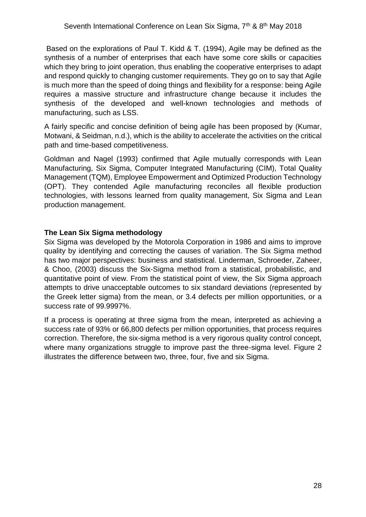Based on the explorations of Paul T. Kidd & T. (1994), Agile may be defined as the synthesis of a number of enterprises that each have some core skills or capacities which they bring to joint operation, thus enabling the cooperative enterprises to adapt and respond quickly to changing customer requirements. They go on to say that Agile is much more than the speed of doing things and flexibility for a response: being Agile requires a massive structure and infrastructure change because it includes the synthesis of the developed and well-known technologies and methods of manufacturing, such as LSS.

A fairly specific and concise definition of being agile has been proposed by (Kumar, Motwani, & Seidman, n.d.), which is the ability to accelerate the activities on the critical path and time-based competitiveness.

Goldman and Nagel (1993) confirmed that Agile mutually corresponds with Lean Manufacturing, Six Sigma, Computer Integrated Manufacturing (CIM), Total Quality Management (TQM), Employee Empowerment and Optimized Production Technology (OPT). They contended Agile manufacturing reconciles all flexible production technologies, with lessons learned from quality management, Six Sigma and Lean production management.

#### **The Lean Six Sigma methodology**

Six Sigma was developed by the Motorola Corporation in 1986 and aims to improve quality by identifying and correcting the causes of variation. The Six Sigma method has two major perspectives: business and statistical. Linderman, Schroeder, Zaheer, & Choo, (2003) discuss the Six-Sigma method from a statistical, probabilistic, and quantitative point of view. From the statistical point of view, the Six Sigma approach attempts to drive unacceptable outcomes to six standard deviations (represented by the Greek letter sigma) from the mean, or 3.4 defects per million opportunities, or a success rate of 99.9997%.

If a process is operating at three sigma from the mean, interpreted as achieving a success rate of 93% or 66,800 defects per million opportunities, that process requires correction. Therefore, the six-sigma method is a very rigorous quality control concept, where many organizations struggle to improve past the three-sigma level. Figure 2 illustrates the difference between two, three, four, five and six Sigma.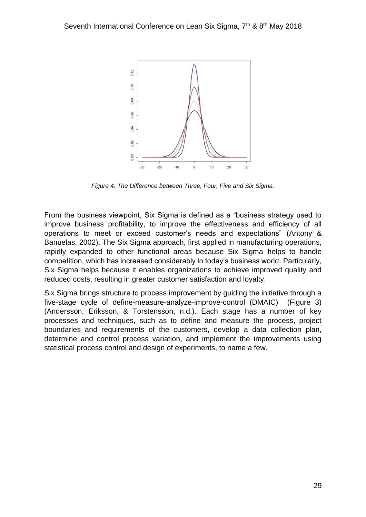

*Figure 4: The Difference between Three, Four, Five and Six Sigma.*

From the business viewpoint, Six Sigma is defined as a "business strategy used to improve business profitability, to improve the effectiveness and efficiency of all operations to meet or exceed customer's needs and expectations" (Antony & Banuelas, 2002). The Six Sigma approach, first applied in manufacturing operations, rapidly expanded to other functional areas because Six Sigma helps to handle competition, which has increased considerably in today's business world. Particularly, Six Sigma helps because it enables organizations to achieve improved quality and reduced costs, resulting in greater customer satisfaction and loyalty.

Six Sigma brings structure to process improvement by guiding the initiative through a five-stage cycle of define-measure-analyze-improve-control (DMAIC) (Figure 3) (Andersson, Eriksson, & Torstensson, n.d.). Each stage has a number of key processes and techniques, such as to define and measure the process, project boundaries and requirements of the customers, develop a data collection plan, determine and control process variation, and implement the improvements using statistical process control and design of experiments, to name a few.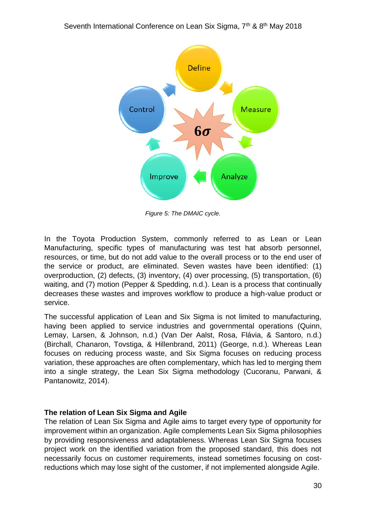

*Figure 5: The DMAIC cycle.*

In the Toyota Production System, commonly referred to as Lean or Lean Manufacturing, specific types of manufacturing was test hat absorb personnel, resources, or time, but do not add value to the overall process or to the end user of the service or product, are eliminated. Seven wastes have been identified: (1) overproduction, (2) defects, (3) inventory, (4) over processing, (5) transportation, (6) waiting, and (7) motion (Pepper & Spedding, n.d.). Lean is a process that continually decreases these wastes and improves workflow to produce a high-value product or service.

The successful application of Lean and Six Sigma is not limited to manufacturing, having been applied to service industries and governmental operations (Quinn, Lemay, Larsen, & Johnson, n.d.) (Van Der Aalst, Rosa, Flávia, & Santoro, n.d.) (Birchall, Chanaron, Tovstiga, & Hillenbrand, 2011) (George, n.d.). Whereas Lean focuses on reducing process waste, and Six Sigma focuses on reducing process variation, these approaches are often complementary, which has led to merging them into a single strategy, the Lean Six Sigma methodology (Cucoranu, Parwani, & Pantanowitz, 2014).

#### **The relation of Lean Six Sigma and Agile**

The relation of Lean Six Sigma and Agile aims to target every type of opportunity for improvement within an organization. Agile complements Lean Six Sigma philosophies by providing responsiveness and adaptableness. Whereas Lean Six Sigma focuses project work on the identified variation from the proposed standard, this does not necessarily focus on customer requirements, instead sometimes focusing on costreductions which may lose sight of the customer, if not implemented alongside Agile.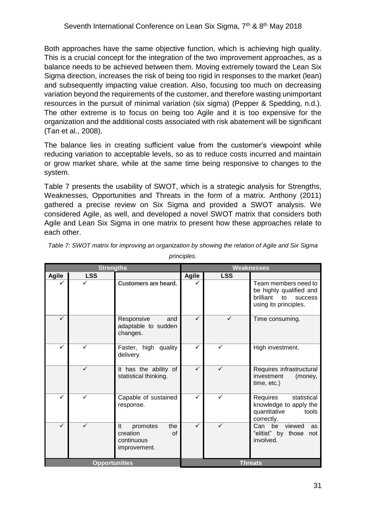Both approaches have the same objective function, which is achieving high quality. This is a crucial concept for the integration of the two improvement approaches, as a balance needs to be achieved between them. Moving extremely toward the Lean Six Sigma direction, increases the risk of being too rigid in responses to the market (lean) and subsequently impacting value creation. Also, focusing too much on decreasing variation beyond the requirements of the customer, and therefore wasting unimportant resources in the pursuit of minimal variation (six sigma) (Pepper & Spedding, n.d.). The other extreme is to focus on being too Agile and it is too expensive for the organization and the additional costs associated with risk abatement will be significant (Tan et al., 2008).

The balance lies in creating sufficient value from the customer's viewpoint while reducing variation to acceptable levels, so as to reduce costs incurred and maintain or grow market share, while at the same time being responsive to changes to the system.

[Table 7](#page-9-0) presents the usability of SWOT, which is a strategic analysis for Strengths, Weaknesses, Opportunities and Threats in the form of a matrix. Anthony (2011) gathered a precise review on Six Sigma and provided a SWOT analysis. We considered Agile, as well, and developed a novel SWOT matrix that considers both Agile and Lean Six Sigma in one matrix to present how these approaches relate to each other.

| <b>Strengths</b>     |              |                                                                       | <b>Weaknesses</b> |              |                                                                                                            |
|----------------------|--------------|-----------------------------------------------------------------------|-------------------|--------------|------------------------------------------------------------------------------------------------------------|
| <b>Agile</b>         | <b>LSS</b>   |                                                                       | <b>Agile</b>      | <b>LSS</b>   |                                                                                                            |
|                      |              | <b>Customers are heard.</b>                                           |                   |              | Team members need to<br>be highly qualified and<br>brilliant to<br><b>SUCCESS</b><br>using its principles. |
| ✓                    |              | Responsive<br>and<br>adaptable to sudden<br>changes.                  | ✓                 |              | Time consuming.                                                                                            |
| ✓                    | ✓            | Faster, high quality<br>delivery.                                     | ✓                 | ✓            | High investment.                                                                                           |
|                      | $\checkmark$ | It has the ability of<br>statistical thinking.                        | ✓                 | ✓            | Requires infrastructural<br>investment<br>(money,<br>time, etc.)                                           |
| ✓                    | $\checkmark$ | Capable of sustained<br>response.                                     | ✓                 | $\checkmark$ | Requires<br>statistical<br>knowledge to apply the<br>quantitative<br>tools<br>correctly.                   |
| ✓                    |              | the<br>It<br>promotes<br>creation<br>of<br>continuous<br>improvement. | $\checkmark$      |              | Can be viewed<br>as<br>"elitist" by those not<br>involved.                                                 |
| <b>Opportunities</b> |              |                                                                       | <b>Threats</b>    |              |                                                                                                            |

<span id="page-9-0"></span>*Table 7: SWOT matrix for improving an organization by showing the relation of Agile and Six Sigma* 

*principles.*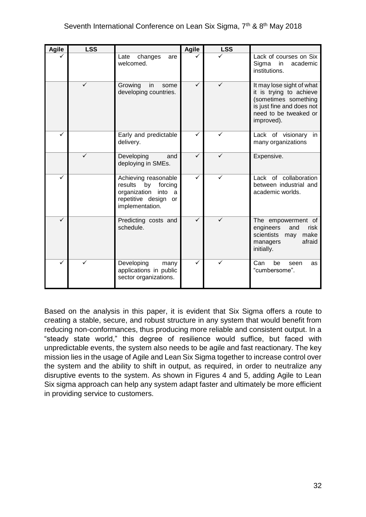| <b>Agile</b> | <b>LSS</b>   |                                                                                                                                     | <b>Agile</b> | <b>LSS</b> |                                                                                                                                                  |
|--------------|--------------|-------------------------------------------------------------------------------------------------------------------------------------|--------------|------------|--------------------------------------------------------------------------------------------------------------------------------------------------|
|              |              | Late<br>changes<br>are<br>welcomed.                                                                                                 |              |            | Lack of courses on Six<br>Sigma<br>in<br>academic<br>institutions.                                                                               |
|              | $\checkmark$ | Growing<br>in<br>some<br>developing countries.                                                                                      | ✓            | ✓          | It may lose sight of what<br>it is trying to achieve<br>(sometimes something<br>is just fine and does not<br>need to be tweaked or<br>improved). |
|              |              | Early and predictable<br>delivery.                                                                                                  |              |            | Lack of visionary in<br>many organizations                                                                                                       |
|              | $\checkmark$ | Developing<br>and<br>deploying in SMEs.                                                                                             | ✓            | ✓          | Expensive.                                                                                                                                       |
| ✓            |              | Achieving reasonable<br>results<br>forcing<br>by<br>organization<br>into<br><sub>a</sub><br>repetitive design or<br>implementation. | ✓            | ✓          | Lack of collaboration<br>between industrial and<br>academic worlds.                                                                              |
| ✓            |              | Predicting costs and<br>schedule.                                                                                                   |              | ✓          | The empowerment of<br>engineers<br>risk<br>and<br>scientists<br>make<br>may<br>afraid<br>managers<br>initially.                                  |
| ✓            | ✓            | Developing<br>many<br>applications in public<br>sector organizations.                                                               | ✓            | ✓          | Can<br>be<br>seen<br>as<br>"cumbersome".                                                                                                         |

Based on the analysis in this paper, it is evident that Six Sigma offers a route to creating a stable, secure, and robust structure in any system that would benefit from reducing non-conformances, thus producing more reliable and consistent output. In a "steady state world," this degree of resilience would suffice, but faced with unpredictable events, the system also needs to be agile and fast reactionary. The key mission lies in the usage of Agile and Lean Six Sigma together to increase control over the system and the ability to shift in output, as required, in order to neutralize any disruptive events to the system. As shown in Figures 4 and 5, adding Agile to Lean Six sigma approach can help any system adapt faster and ultimately be more efficient in providing service to customers.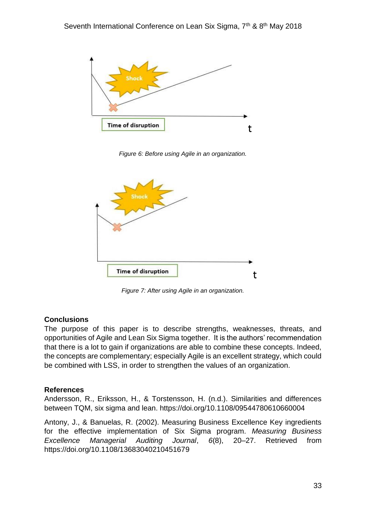

*Figure 6: Before using Agile in an organization.*



*Figure 7: After using Agile in an organization.*

#### **Conclusions**

The purpose of this paper is to describe strengths, weaknesses, threats, and opportunities of Agile and Lean Six Sigma together. It is the authors' recommendation that there is a lot to gain if organizations are able to combine these concepts. Indeed, the concepts are complementary; especially Agile is an excellent strategy, which could be combined with LSS, in order to strengthen the values of an organization.

#### **References**

Andersson, R., Eriksson, H., & Torstensson, H. (n.d.). Similarities and differences between TQM, six sigma and lean. https://doi.org/10.1108/09544780610660004

Antony, J., & Banuelas, R. (2002). Measuring Business Excellence Key ingredients for the effective implementation of Six Sigma program. *Measuring Business Excellence Managerial Auditing Journal*, *6*(8), 20–27. Retrieved from https://doi.org/10.1108/13683040210451679